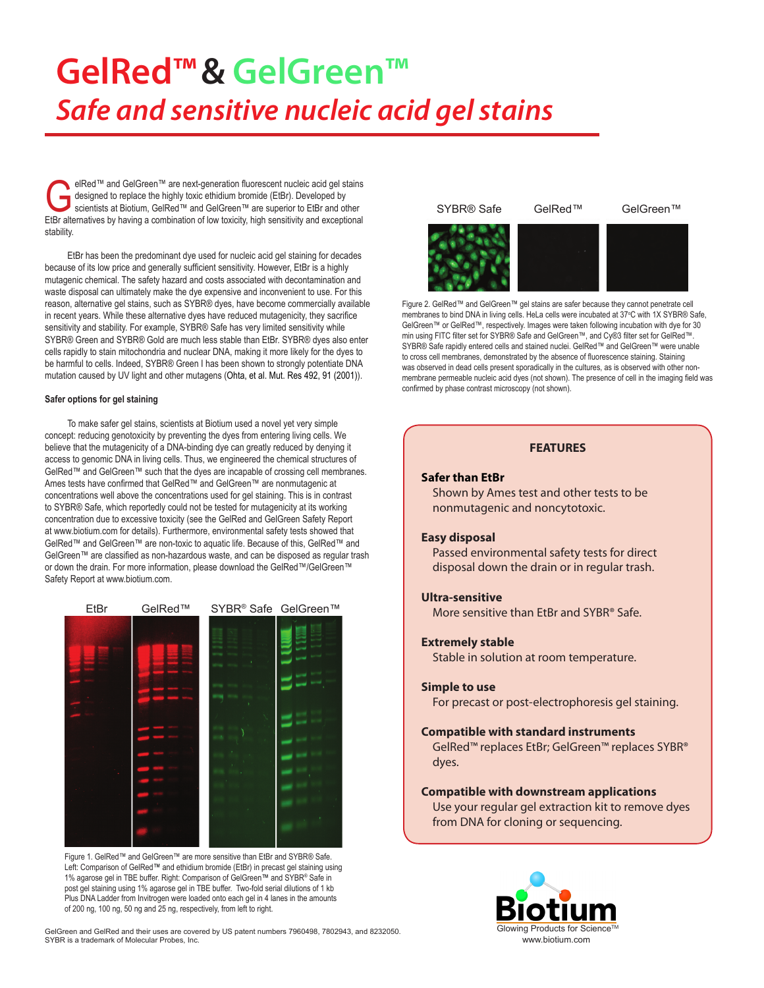# **GelRed™& GelGreen™** *Safe and sensitive nucleic acid gel stains*

elRed™ and GelGreen™ are next-generation fluorescent nucleic acid gel stains<br>designed to replace the highly toxic ethidium bromide (EtBr). Developed by<br>scientists at Biotium, GelRed™ and GelGreen™ are superior to EtBr and designed to replace the highly toxic ethidium bromide (EtBr). Developed by EtBr alternatives by having a combination of low toxicity, high sensitivity and exceptional stability.

EtBr has been the predominant dye used for nucleic acid gel staining for decades because of its low price and generally sufficient sensitivity. However, EtBr is a highly mutagenic chemical. The safety hazard and costs associated with decontamination and waste disposal can ultimately make the dye expensive and inconvenient to use. For this reason, alternative gel stains, such as SYBR® dyes, have become commercially available in recent years. While these alternative dyes have reduced mutagenicity, they sacrifice sensitivity and stability. For example, SYBR® Safe has very limited sensitivity while SYBR® Green and SYBR® Gold are much less stable than EtBr. SYBR® dyes also enter cells rapidly to stain mitochondria and nuclear DNA, making it more likely for the dyes to be harmful to cells. Indeed, SYBR® Green I has been shown to strongly potentiate DNA mutation caused by UV light and other mutagens (Ohta, et al. Mut. Res 492, 91 (2001)).

#### **Safer options for gel staining**

To make safer gel stains, scientists at Biotium used a novel yet very simple concept: reducing genotoxicity by preventing the dyes from entering living cells. We believe that the mutagenicity of a DNA-binding dye can greatly reduced by denying it access to genomic DNA in living cells. Thus, we engineered the chemical structures of GelRed™ and GelGreen™ such that the dyes are incapable of crossing cell membranes. Ames tests have confirmed that GelRed™ and GelGreen™ are nonmutagenic at concentrations well above the concentrations used for gel staining. This is in contrast to SYBR® Safe, which reportedly could not be tested for mutagenicity at its working concentration due to excessive toxicity (see the GelRed and GelGreen Safety Report at www.biotium.com for details). Furthermore, environmental safety tests showed that GelRed™ and GelGreen™ are non-toxic to aquatic life. Because of this, GelRed™ and GelGreen™ are classified as non-hazardous waste, and can be disposed as regular trash or down the drain. For more information, please download the GelRed™/GelGreen™ Safety Report at www.biotium.com.



Figure 1. GelRed™ and GelGreen™ are more sensitive than EtBr and SYBR® Safe Left: Comparison of GelRed™ and ethidium bromide (EtBr) in precast gel staining using 1% agarose gel in TBE buffer. Right: Comparison of GelGreen™ and SYBR® Safe in post gel staining using 1% agarose gel in TBE buffer. Two-fold serial dilutions of 1 kb Plus DNA Ladder from Invitrogen were loaded onto each gel in 4 lanes in the amounts of 200 ng, 100 ng, 50 ng and 25 ng, respectively, from left to right.

GelGreen and GelRed and their uses are covered by US patent numbers 7960498, 7802943, and 8232050. SYBR is a trademark of Molecular Probes, Inc.



Figure 2. GelRed™ and GelGreen™ gel stains are safer because they cannot penetrate cell membranes to bind DNA in living cells. HeLa cells were incubated at 37°C with 1X SYBR® Safe, GelGreen™ or GelRed™, respectively. Images were taken following incubation with dye for 30 min using FITC filter set for SYBR® Safe and GelGreen™, and Cy®3 filter set for GelRed™. SYBR® Safe rapidly entered cells and stained nuclei. GelRed™ and GelGreen™ were unable to cross cell membranes, demonstrated by the absence of fluorescence staining. Staining was observed in dead cells present sporadically in the cultures, as is observed with other nonmembrane permeable nucleic acid dyes (not shown). The presence of cell in the imaging field was confirmed by phase contrast microscopy (not shown).



#### **Simple to use**

For precast or post-electrophoresis gel staining.

#### **Compatible with standard instruments**

GelRed™ replaces EtBr; GelGreen™ replaces SYBR® dyes.

#### **Compatible with downstream applications**

Use your regular gel extraction kit to remove dyes from DNA for cloning or sequencing.